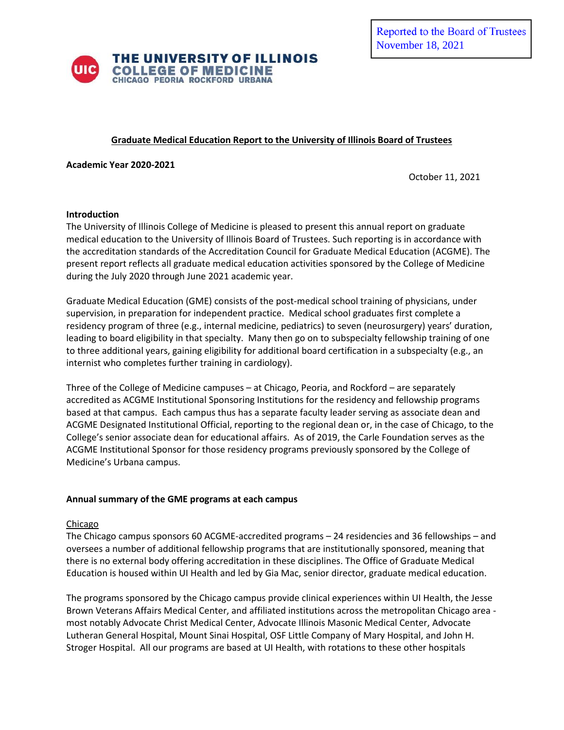

## **Graduate Medical Education Report to the University of Illinois Board of Trustees**

**Academic Year 2020-2021**

October 11, 2021

#### **Introduction**

The University of Illinois College of Medicine is pleased to present this annual report on graduate medical education to the University of Illinois Board of Trustees. Such reporting is in accordance with the accreditation standards of the Accreditation Council for Graduate Medical Education (ACGME). The present report reflects all graduate medical education activities sponsored by the College of Medicine during the July 2020 through June 2021 academic year.

Graduate Medical Education (GME) consists of the post-medical school training of physicians, under supervision, in preparation for independent practice. Medical school graduates first complete a residency program of three (e.g., internal medicine, pediatrics) to seven (neurosurgery) years' duration, leading to board eligibility in that specialty. Many then go on to subspecialty fellowship training of one to three additional years, gaining eligibility for additional board certification in a subspecialty (e.g., an internist who completes further training in cardiology).

Three of the College of Medicine campuses – at Chicago, Peoria, and Rockford – are separately accredited as ACGME Institutional Sponsoring Institutions for the residency and fellowship programs based at that campus. Each campus thus has a separate faculty leader serving as associate dean and ACGME Designated Institutional Official, reporting to the regional dean or, in the case of Chicago, to the College's senior associate dean for educational affairs. As of 2019, the Carle Foundation serves as the ACGME Institutional Sponsor for those residency programs previously sponsored by the College of Medicine's Urbana campus.

### **Annual summary of the GME programs at each campus**

### Chicago

The Chicago campus sponsors 60 ACGME-accredited programs – 24 residencies and 36 fellowships – and oversees a number of additional fellowship programs that are institutionally sponsored, meaning that there is no external body offering accreditation in these disciplines. The Office of Graduate Medical Education is housed within UI Health and led by Gia Mac, senior director, graduate medical education.

The programs sponsored by the Chicago campus provide clinical experiences within UI Health, the Jesse Brown Veterans Affairs Medical Center, and affiliated institutions across the metropolitan Chicago area most notably Advocate Christ Medical Center, Advocate Illinois Masonic Medical Center, Advocate Lutheran General Hospital, Mount Sinai Hospital, OSF Little Company of Mary Hospital, and John H. Stroger Hospital. All our programs are based at UI Health, with rotations to these other hospitals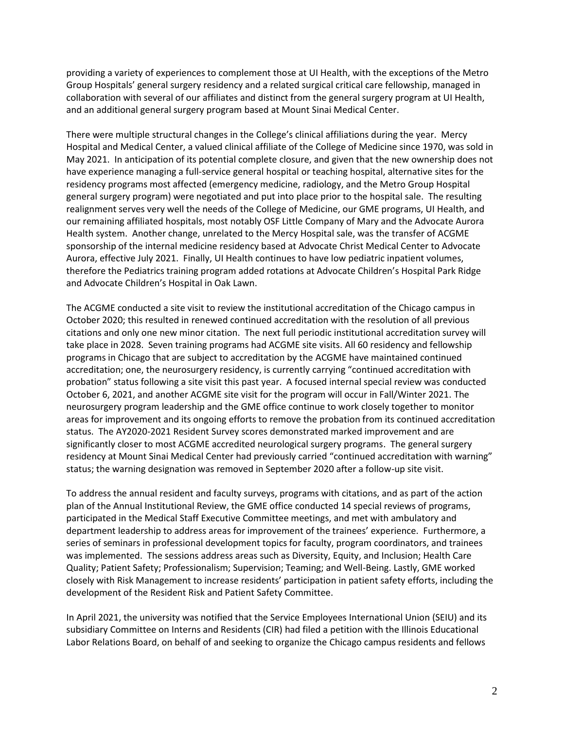providing a variety of experiences to complement those at UI Health, with the exceptions of the Metro Group Hospitals' general surgery residency and a related surgical critical care fellowship, managed in collaboration with several of our affiliates and distinct from the general surgery program at UI Health, and an additional general surgery program based at Mount Sinai Medical Center.

There were multiple structural changes in the College's clinical affiliations during the year. Mercy Hospital and Medical Center, a valued clinical affiliate of the College of Medicine since 1970, was sold in May 2021. In anticipation of its potential complete closure, and given that the new ownership does not have experience managing a full-service general hospital or teaching hospital, alternative sites for the residency programs most affected (emergency medicine, radiology, and the Metro Group Hospital general surgery program) were negotiated and put into place prior to the hospital sale. The resulting realignment serves very well the needs of the College of Medicine, our GME programs, UI Health, and our remaining affiliated hospitals, most notably OSF Little Company of Mary and the Advocate Aurora Health system. Another change, unrelated to the Mercy Hospital sale, was the transfer of ACGME sponsorship of the internal medicine residency based at Advocate Christ Medical Center to Advocate Aurora, effective July 2021. Finally, UI Health continues to have low pediatric inpatient volumes, therefore the Pediatrics training program added rotations at Advocate Children's Hospital Park Ridge and Advocate Children's Hospital in Oak Lawn.

The ACGME conducted a site visit to review the institutional accreditation of the Chicago campus in October 2020; this resulted in renewed continued accreditation with the resolution of all previous citations and only one new minor citation. The next full periodic institutional accreditation survey will take place in 2028. Seven training programs had ACGME site visits. All 60 residency and fellowship programs in Chicago that are subject to accreditation by the ACGME have maintained continued accreditation; one, the neurosurgery residency, is currently carrying "continued accreditation with probation" status following a site visit this past year. A focused internal special review was conducted October 6, 2021, and another ACGME site visit for the program will occur in Fall/Winter 2021. The neurosurgery program leadership and the GME office continue to work closely together to monitor areas for improvement and its ongoing efforts to remove the probation from its continued accreditation status. The AY2020-2021 Resident Survey scores demonstrated marked improvement and are significantly closer to most ACGME accredited neurological surgery programs. The general surgery residency at Mount Sinai Medical Center had previously carried "continued accreditation with warning" status; the warning designation was removed in September 2020 after a follow-up site visit.

To address the annual resident and faculty surveys, programs with citations, and as part of the action plan of the Annual Institutional Review, the GME office conducted 14 special reviews of programs, participated in the Medical Staff Executive Committee meetings, and met with ambulatory and department leadership to address areas for improvement of the trainees' experience. Furthermore, a series of seminars in professional development topics for faculty, program coordinators, and trainees was implemented. The sessions address areas such as Diversity, Equity, and Inclusion; Health Care Quality; Patient Safety; Professionalism; Supervision; Teaming; and Well-Being. Lastly, GME worked closely with Risk Management to increase residents' participation in patient safety efforts, including the development of the Resident Risk and Patient Safety Committee.

In April 2021, the university was notified that the Service Employees International Union (SEIU) and its subsidiary Committee on Interns and Residents (CIR) had filed a petition with the Illinois Educational Labor Relations Board, on behalf of and seeking to organize the Chicago campus residents and fellows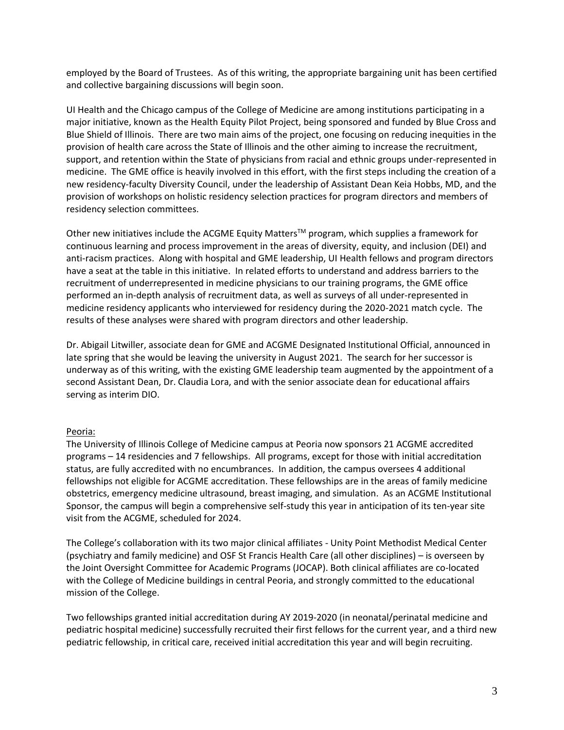employed by the Board of Trustees. As of this writing, the appropriate bargaining unit has been certified and collective bargaining discussions will begin soon.

UI Health and the Chicago campus of the College of Medicine are among institutions participating in a major initiative, known as the Health Equity Pilot Project, being sponsored and funded by Blue Cross and Blue Shield of Illinois. There are two main aims of the project, one focusing on reducing inequities in the provision of health care across the State of Illinois and the other aiming to increase the recruitment, support, and retention within the State of physicians from racial and ethnic groups under-represented in medicine. The GME office is heavily involved in this effort, with the first steps including the creation of a new residency-faculty Diversity Council, under the leadership of Assistant Dean Keia Hobbs, MD, and the provision of workshops on holistic residency selection practices for program directors and members of residency selection committees.

Other new initiatives include the ACGME Equity Matters™ program, which supplies a framework for continuous learning and process improvement in the areas of diversity, equity, and inclusion (DEI) and anti-racism practices. Along with hospital and GME leadership, UI Health fellows and program directors have a seat at the table in this initiative. In related efforts to understand and address barriers to the recruitment of underrepresented in medicine physicians to our training programs, the GME office performed an in-depth analysis of recruitment data, as well as surveys of all under-represented in medicine residency applicants who interviewed for residency during the 2020-2021 match cycle. The results of these analyses were shared with program directors and other leadership.

Dr. Abigail Litwiller, associate dean for GME and ACGME Designated Institutional Official, announced in late spring that she would be leaving the university in August 2021. The search for her successor is underway as of this writing, with the existing GME leadership team augmented by the appointment of a second Assistant Dean, Dr. Claudia Lora, and with the senior associate dean for educational affairs serving as interim DIO.

### Peoria:

The University of Illinois College of Medicine campus at Peoria now sponsors 21 ACGME accredited programs – 14 residencies and 7 fellowships. All programs, except for those with initial accreditation status, are fully accredited with no encumbrances. In addition, the campus oversees 4 additional fellowships not eligible for ACGME accreditation. These fellowships are in the areas of family medicine obstetrics, emergency medicine ultrasound, breast imaging, and simulation. As an ACGME Institutional Sponsor, the campus will begin a comprehensive self-study this year in anticipation of its ten-year site visit from the ACGME, scheduled for 2024.

The College's collaboration with its two major clinical affiliates - Unity Point Methodist Medical Center (psychiatry and family medicine) and OSF St Francis Health Care (all other disciplines) – is overseen by the Joint Oversight Committee for Academic Programs (JOCAP). Both clinical affiliates are co-located with the College of Medicine buildings in central Peoria, and strongly committed to the educational mission of the College.

Two fellowships granted initial accreditation during AY 2019-2020 (in neonatal/perinatal medicine and pediatric hospital medicine) successfully recruited their first fellows for the current year, and a third new pediatric fellowship, in critical care, received initial accreditation this year and will begin recruiting.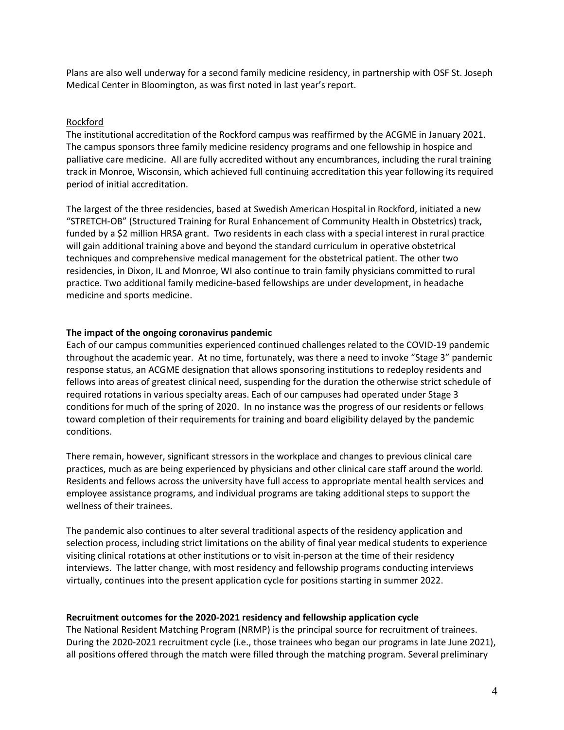Plans are also well underway for a second family medicine residency, in partnership with OSF St. Joseph Medical Center in Bloomington, as was first noted in last year's report.

# Rockford

The institutional accreditation of the Rockford campus was reaffirmed by the ACGME in January 2021. The campus sponsors three family medicine residency programs and one fellowship in hospice and palliative care medicine. All are fully accredited without any encumbrances, including the rural training track in Monroe, Wisconsin, which achieved full continuing accreditation this year following its required period of initial accreditation.

The largest of the three residencies, based at Swedish American Hospital in Rockford, initiated a new "STRETCH-OB" (Structured Training for Rural Enhancement of Community Health in Obstetrics) track, funded by a \$2 million HRSA grant. Two residents in each class with a special interest in rural practice will gain additional training above and beyond the standard curriculum in operative obstetrical techniques and comprehensive medical management for the obstetrical patient. The other two residencies, in Dixon, IL and Monroe, WI also continue to train family physicians committed to rural practice. Two additional family medicine-based fellowships are under development, in headache medicine and sports medicine.

### **The impact of the ongoing coronavirus pandemic**

Each of our campus communities experienced continued challenges related to the COVID-19 pandemic throughout the academic year. At no time, fortunately, was there a need to invoke "Stage 3" pandemic response status, an ACGME designation that allows sponsoring institutions to redeploy residents and fellows into areas of greatest clinical need, suspending for the duration the otherwise strict schedule of required rotations in various specialty areas. Each of our campuses had operated under Stage 3 conditions for much of the spring of 2020. In no instance was the progress of our residents or fellows toward completion of their requirements for training and board eligibility delayed by the pandemic conditions.

There remain, however, significant stressors in the workplace and changes to previous clinical care practices, much as are being experienced by physicians and other clinical care staff around the world. Residents and fellows across the university have full access to appropriate mental health services and employee assistance programs, and individual programs are taking additional steps to support the wellness of their trainees.

The pandemic also continues to alter several traditional aspects of the residency application and selection process, including strict limitations on the ability of final year medical students to experience visiting clinical rotations at other institutions or to visit in-person at the time of their residency interviews. The latter change, with most residency and fellowship programs conducting interviews virtually, continues into the present application cycle for positions starting in summer 2022.

### **Recruitment outcomes for the 2020-2021 residency and fellowship application cycle**

The National Resident Matching Program (NRMP) is the principal source for recruitment of trainees. During the 2020-2021 recruitment cycle (i.e., those trainees who began our programs in late June 2021), all positions offered through the match were filled through the matching program. Several preliminary